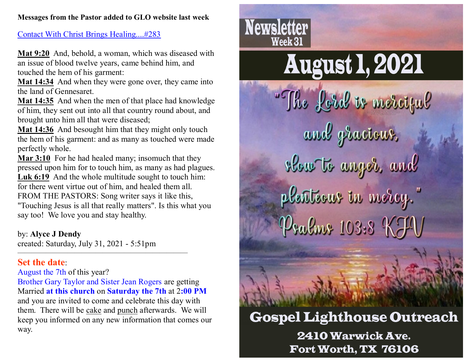### **Messages from the Pastor added to GLO website last week**

### [Contact With Christ Brings Healing....#283](http://www.gospellighthouseoutreach.com/fellowshiphall/?q=node/7530)

**Mat 9:20** And, behold, a woman, which was diseased with an issue of blood twelve years, came behind him, and touched the hem of his garment:

**Mat 14:34** And when they were gone over, they came into the land of Gennesaret.

**Mat 14:35** And when the men of that place had knowledge of him, they sent out into all that country round about, and brought unto him all that were diseased;

**Mat 14:36** And besought him that they might only touch the hem of his garment: and as many as touched were made perfectly whole.

**Mar 3:10** For he had healed many; insomuch that they pressed upon him for to touch him, as many as had plagues. Luk 6:19 And the whole multitude sought to touch him: for there went virtue out of him, and healed them all. FROM THE PASTORS: Song writer says it like this, "Touching Jesus is all that really matters". Is this what you say too! We love you and stay healthy.

by: **Alyce J Dendy**

created: Saturday, July 31, 2021 - 5:51pm

————————————————————————

### **Set the date**:

### August the 7th of this year?

Brother Gary Taylor and Sister Jean Rogers are getting Married **at this church** on **Saturday the 7th** at 2**:00 PM** and you are invited to come and celebrate this day with them. There will be cake and punch afterwards. We will keep you informed on any new information that comes our way.





## **Gospel Lighthouse Outreach 2410 Warwick Ave.** Fort Worth, TX 76106